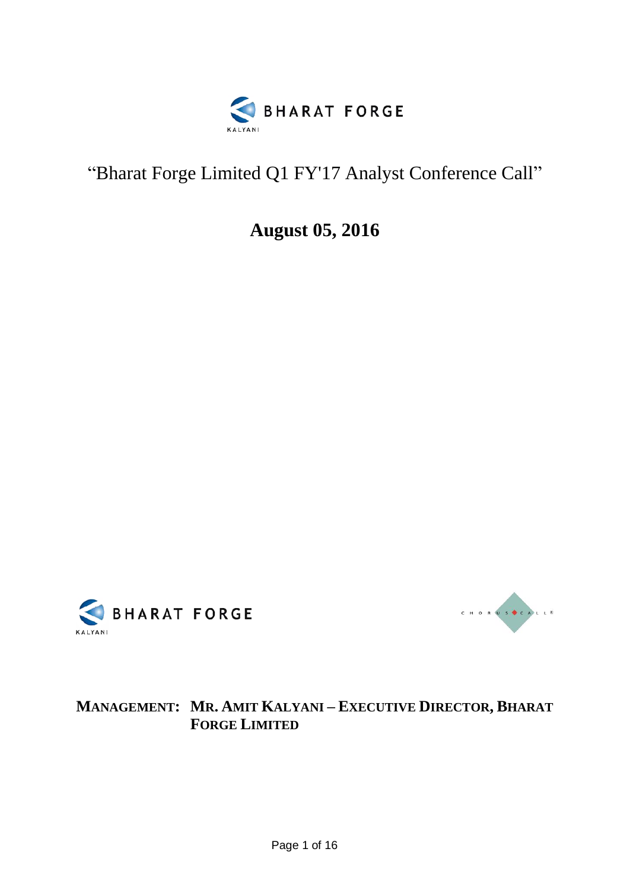

# "Bharat Forge Limited Q1 FY'17 Analyst Conference Call"

**August 05, 2016**





## **MANAGEMENT: MR. AMIT KALYANI – EXECUTIVE DIRECTOR, BHARAT FORGE LIMITED**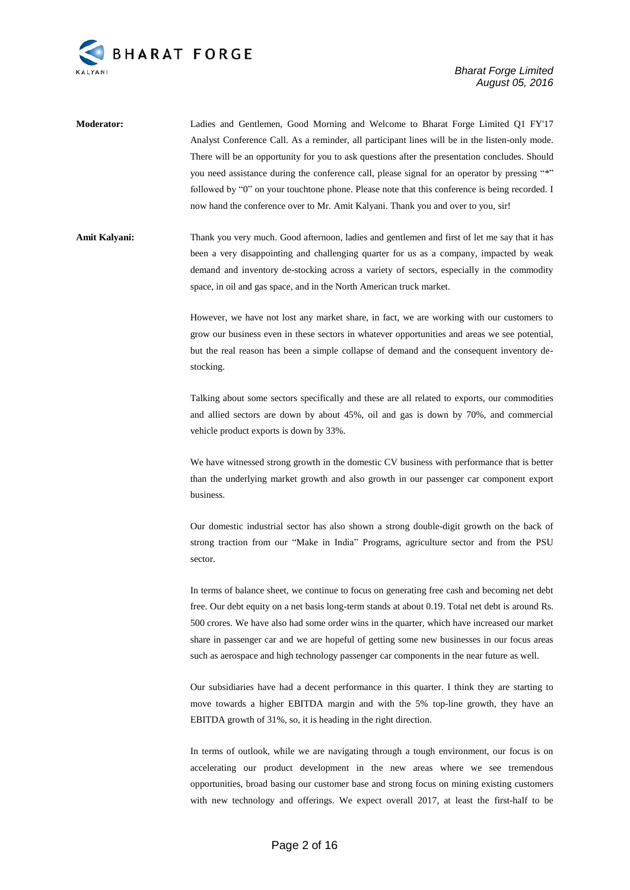

**Moderator:** Ladies and Gentlemen, Good Morning and Welcome to Bharat Forge Limited Q1 FY'17 Analyst Conference Call. As a reminder, all participant lines will be in the listen-only mode. There will be an opportunity for you to ask questions after the presentation concludes. Should you need assistance during the conference call, please signal for an operator by pressing "\*" followed by "0" on your touchtone phone. Please note that this conference is being recorded. I now hand the conference over to Mr. Amit Kalyani. Thank you and over to you, sir!

**Amit Kalyani:** Thank you very much. Good afternoon, ladies and gentlemen and first of let me say that it has been a very disappointing and challenging quarter for us as a company, impacted by weak demand and inventory de-stocking across a variety of sectors, especially in the commodity space, in oil and gas space, and in the North American truck market.

> However, we have not lost any market share, in fact, we are working with our customers to grow our business even in these sectors in whatever opportunities and areas we see potential, but the real reason has been a simple collapse of demand and the consequent inventory destocking.

> Talking about some sectors specifically and these are all related to exports, our commodities and allied sectors are down by about 45%, oil and gas is down by 70%, and commercial vehicle product exports is down by 33%.

> We have witnessed strong growth in the domestic CV business with performance that is better than the underlying market growth and also growth in our passenger car component export business.

> Our domestic industrial sector has also shown a strong double-digit growth on the back of strong traction from our "Make in India" Programs, agriculture sector and from the PSU sector.

> In terms of balance sheet, we continue to focus on generating free cash and becoming net debt free. Our debt equity on a net basis long-term stands at about 0.19. Total net debt is around Rs. 500 crores. We have also had some order wins in the quarter, which have increased our market share in passenger car and we are hopeful of getting some new businesses in our focus areas such as aerospace and high technology passenger car components in the near future as well.

> Our subsidiaries have had a decent performance in this quarter. I think they are starting to move towards a higher EBITDA margin and with the 5% top-line growth, they have an EBITDA growth of 31%, so, it is heading in the right direction.

> In terms of outlook, while we are navigating through a tough environment, our focus is on accelerating our product development in the new areas where we see tremendous opportunities, broad basing our customer base and strong focus on mining existing customers with new technology and offerings. We expect overall 2017, at least the first-half to be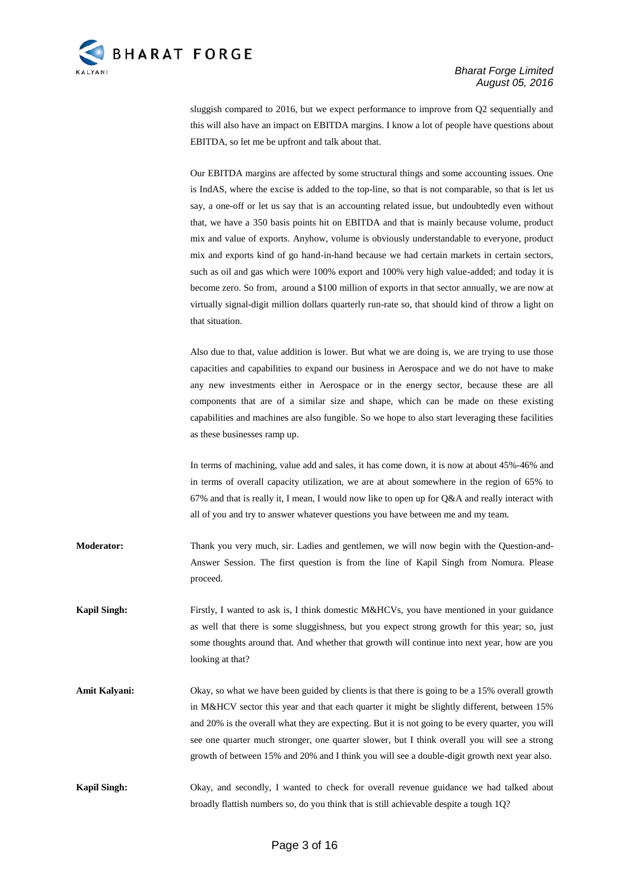

sluggish compared to 2016, but we expect performance to improve from Q2 sequentially and this will also have an impact on EBITDA margins. I know a lot of people have questions about EBITDA, so let me be upfront and talk about that.

Our EBITDA margins are affected by some structural things and some accounting issues. One is IndAS, where the excise is added to the top-line, so that is not comparable, so that is let us say, a one-off or let us say that is an accounting related issue, but undoubtedly even without that, we have a 350 basis points hit on EBITDA and that is mainly because volume, product mix and value of exports. Anyhow, volume is obviously understandable to everyone, product mix and exports kind of go hand-in-hand because we had certain markets in certain sectors, such as oil and gas which were 100% export and 100% very high value-added; and today it is become zero. So from, around a \$100 million of exports in that sector annually, we are now at virtually signal-digit million dollars quarterly run-rate so, that should kind of throw a light on that situation.

Also due to that, value addition is lower. But what we are doing is, we are trying to use those capacities and capabilities to expand our business in Aerospace and we do not have to make any new investments either in Aerospace or in the energy sector, because these are all components that are of a similar size and shape, which can be made on these existing capabilities and machines are also fungible. So we hope to also start leveraging these facilities as these businesses ramp up.

In terms of machining, value add and sales, it has come down, it is now at about 45%-46% and in terms of overall capacity utilization, we are at about somewhere in the region of 65% to 67% and that is really it, I mean, I would now like to open up for  $Q&A$  and really interact with all of you and try to answer whatever questions you have between me and my team.

**Moderator:** Thank you very much, sir. Ladies and gentlemen, we will now begin with the Question-and-Answer Session. The first question is from the line of Kapil Singh from Nomura. Please proceed.

**Kapil Singh:** Firstly, I wanted to ask is, I think domestic M&HCVs, you have mentioned in your guidance as well that there is some sluggishness, but you expect strong growth for this year; so, just some thoughts around that. And whether that growth will continue into next year, how are you looking at that?

**Amit Kalyani:** Okay, so what we have been guided by clients is that there is going to be a 15% overall growth in M&HCV sector this year and that each quarter it might be slightly different, between 15% and 20% is the overall what they are expecting. But it is not going to be every quarter, you will see one quarter much stronger, one quarter slower, but I think overall you will see a strong growth of between 15% and 20% and I think you will see a double-digit growth next year also.

**Kapil Singh:** Okay, and secondly, I wanted to check for overall revenue guidance we had talked about broadly flattish numbers so, do you think that is still achievable despite a tough 1Q?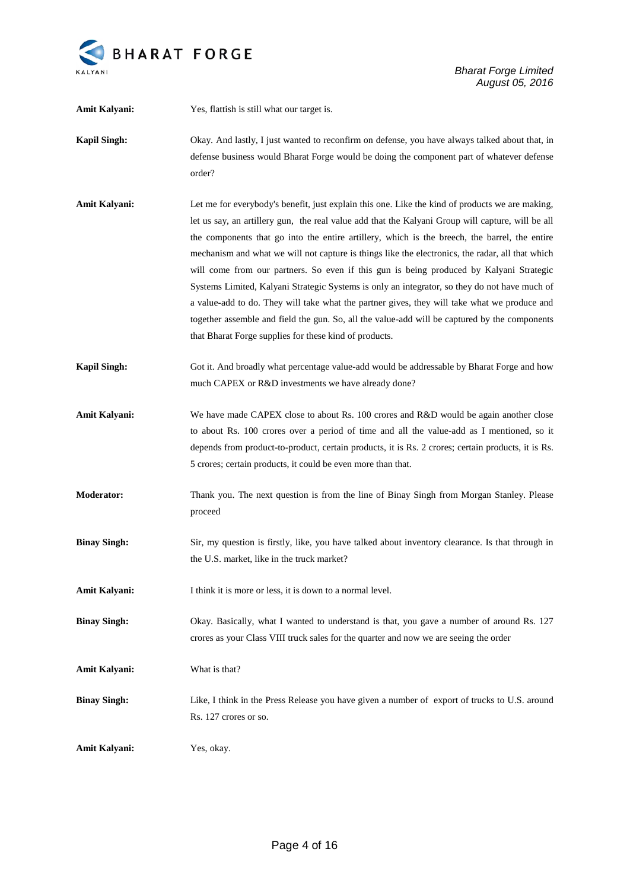

| Amit Kalyani:        | Yes, flattish is still what our target is.                                                                                                                                                                                                                                                                                                                                                                                                                                                                                                                                                                                                                                                                                                                                                                                                                       |
|----------------------|------------------------------------------------------------------------------------------------------------------------------------------------------------------------------------------------------------------------------------------------------------------------------------------------------------------------------------------------------------------------------------------------------------------------------------------------------------------------------------------------------------------------------------------------------------------------------------------------------------------------------------------------------------------------------------------------------------------------------------------------------------------------------------------------------------------------------------------------------------------|
| <b>Kapil Singh:</b>  | Okay. And lastly, I just wanted to reconfirm on defense, you have always talked about that, in<br>defense business would Bharat Forge would be doing the component part of whatever defense<br>order?                                                                                                                                                                                                                                                                                                                                                                                                                                                                                                                                                                                                                                                            |
| Amit Kalyani:        | Let me for everybody's benefit, just explain this one. Like the kind of products we are making,<br>let us say, an artillery gun, the real value add that the Kalyani Group will capture, will be all<br>the components that go into the entire artillery, which is the breech, the barrel, the entire<br>mechanism and what we will not capture is things like the electronics, the radar, all that which<br>will come from our partners. So even if this gun is being produced by Kalyani Strategic<br>Systems Limited, Kalyani Strategic Systems is only an integrator, so they do not have much of<br>a value-add to do. They will take what the partner gives, they will take what we produce and<br>together assemble and field the gun. So, all the value-add will be captured by the components<br>that Bharat Forge supplies for these kind of products. |
| <b>Kapil Singh:</b>  | Got it. And broadly what percentage value-add would be addressable by Bharat Forge and how<br>much CAPEX or R&D investments we have already done?                                                                                                                                                                                                                                                                                                                                                                                                                                                                                                                                                                                                                                                                                                                |
| Amit Kalyani:        | We have made CAPEX close to about Rs. 100 crores and R&D would be again another close<br>to about Rs. 100 crores over a period of time and all the value-add as I mentioned, so it<br>depends from product-to-product, certain products, it is Rs. 2 crores; certain products, it is Rs.<br>5 crores; certain products, it could be even more than that.                                                                                                                                                                                                                                                                                                                                                                                                                                                                                                         |
| <b>Moderator:</b>    | Thank you. The next question is from the line of Binay Singh from Morgan Stanley. Please<br>proceed                                                                                                                                                                                                                                                                                                                                                                                                                                                                                                                                                                                                                                                                                                                                                              |
| <b>Binay Singh:</b>  | Sir, my question is firstly, like, you have talked about inventory clearance. Is that through in<br>the U.S. market, like in the truck market?                                                                                                                                                                                                                                                                                                                                                                                                                                                                                                                                                                                                                                                                                                                   |
| Amit Kalyani:        | I think it is more or less, it is down to a normal level.                                                                                                                                                                                                                                                                                                                                                                                                                                                                                                                                                                                                                                                                                                                                                                                                        |
| <b>Binay Singh:</b>  | Okay. Basically, what I wanted to understand is that, you gave a number of around Rs. 127<br>crores as your Class VIII truck sales for the quarter and now we are seeing the order                                                                                                                                                                                                                                                                                                                                                                                                                                                                                                                                                                                                                                                                               |
| <b>Amit Kalyani:</b> | What is that?                                                                                                                                                                                                                                                                                                                                                                                                                                                                                                                                                                                                                                                                                                                                                                                                                                                    |
| <b>Binay Singh:</b>  | Like, I think in the Press Release you have given a number of export of trucks to U.S. around<br>Rs. 127 crores or so.                                                                                                                                                                                                                                                                                                                                                                                                                                                                                                                                                                                                                                                                                                                                           |
| Amit Kalyani:        | Yes, okay.                                                                                                                                                                                                                                                                                                                                                                                                                                                                                                                                                                                                                                                                                                                                                                                                                                                       |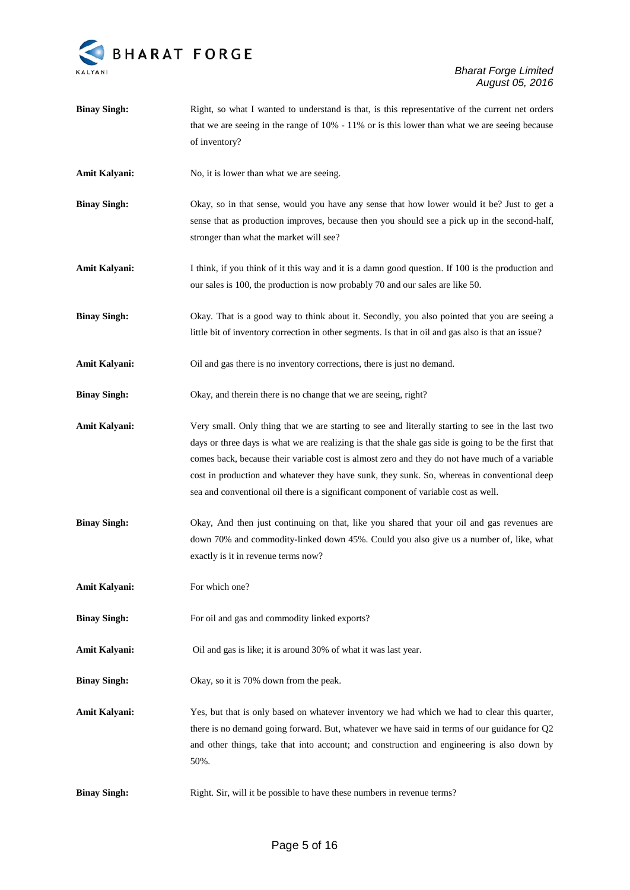

| <b>Binay Singh:</b>  | Right, so what I wanted to understand is that, is this representative of the current net orders<br>that we are seeing in the range of $10\%$ - $11\%$ or is this lower than what we are seeing because                                                                                                                                                                                                                                                                                           |
|----------------------|--------------------------------------------------------------------------------------------------------------------------------------------------------------------------------------------------------------------------------------------------------------------------------------------------------------------------------------------------------------------------------------------------------------------------------------------------------------------------------------------------|
|                      | of inventory?                                                                                                                                                                                                                                                                                                                                                                                                                                                                                    |
| Amit Kalyani:        | No, it is lower than what we are seeing.                                                                                                                                                                                                                                                                                                                                                                                                                                                         |
| <b>Binay Singh:</b>  | Okay, so in that sense, would you have any sense that how lower would it be? Just to get a<br>sense that as production improves, because then you should see a pick up in the second-half,<br>stronger than what the market will see?                                                                                                                                                                                                                                                            |
| Amit Kalyani:        | I think, if you think of it this way and it is a damn good question. If 100 is the production and<br>our sales is 100, the production is now probably 70 and our sales are like 50.                                                                                                                                                                                                                                                                                                              |
| <b>Binay Singh:</b>  | Okay. That is a good way to think about it. Secondly, you also pointed that you are seeing a<br>little bit of inventory correction in other segments. Is that in oil and gas also is that an issue?                                                                                                                                                                                                                                                                                              |
| Amit Kalyani:        | Oil and gas there is no inventory corrections, there is just no demand.                                                                                                                                                                                                                                                                                                                                                                                                                          |
| <b>Binay Singh:</b>  | Okay, and therein there is no change that we are seeing, right?                                                                                                                                                                                                                                                                                                                                                                                                                                  |
| Amit Kalyani:        | Very small. Only thing that we are starting to see and literally starting to see in the last two<br>days or three days is what we are realizing is that the shale gas side is going to be the first that<br>comes back, because their variable cost is almost zero and they do not have much of a variable<br>cost in production and whatever they have sunk, they sunk. So, whereas in conventional deep<br>sea and conventional oil there is a significant component of variable cost as well. |
| <b>Binay Singh:</b>  | Okay, And then just continuing on that, like you shared that your oil and gas revenues are<br>down 70% and commodity-linked down 45%. Could you also give us a number of, like, what<br>exactly is it in revenue terms now?                                                                                                                                                                                                                                                                      |
| <b>Amit Kalyani:</b> | For which one?                                                                                                                                                                                                                                                                                                                                                                                                                                                                                   |
| <b>Binay Singh:</b>  | For oil and gas and commodity linked exports?                                                                                                                                                                                                                                                                                                                                                                                                                                                    |
| Amit Kalyani:        | Oil and gas is like; it is around 30% of what it was last year.                                                                                                                                                                                                                                                                                                                                                                                                                                  |
| <b>Binay Singh:</b>  | Okay, so it is 70% down from the peak.                                                                                                                                                                                                                                                                                                                                                                                                                                                           |
| Amit Kalyani:        | Yes, but that is only based on whatever inventory we had which we had to clear this quarter,<br>there is no demand going forward. But, whatever we have said in terms of our guidance for Q2<br>and other things, take that into account; and construction and engineering is also down by<br>50%.                                                                                                                                                                                               |
| <b>Binay Singh:</b>  | Right. Sir, will it be possible to have these numbers in revenue terms?                                                                                                                                                                                                                                                                                                                                                                                                                          |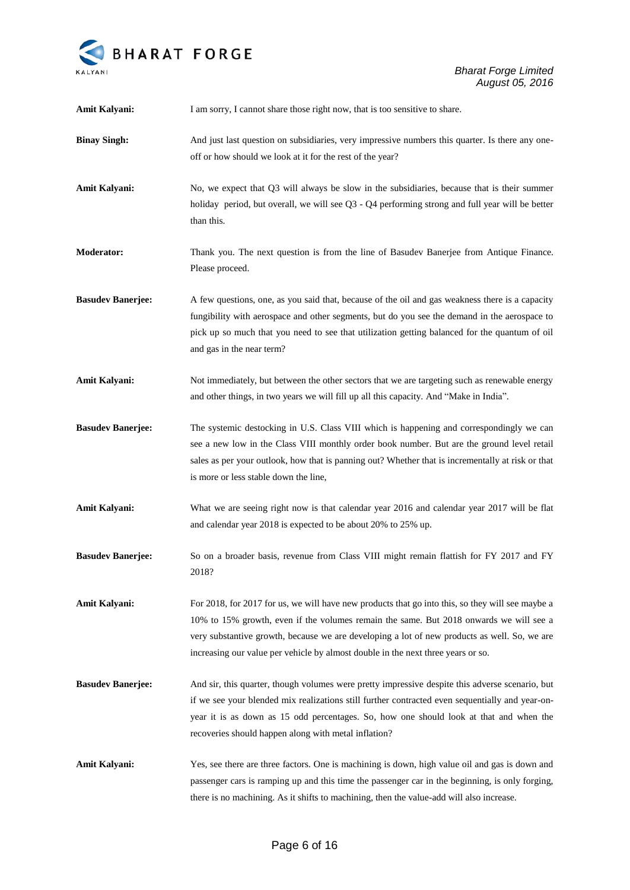

| Amit Kalyani:            | I am sorry, I cannot share those right now, that is too sensitive to share.                                                                                                                                                                                                                                                                                                    |
|--------------------------|--------------------------------------------------------------------------------------------------------------------------------------------------------------------------------------------------------------------------------------------------------------------------------------------------------------------------------------------------------------------------------|
| <b>Binay Singh:</b>      | And just last question on subsidiaries, very impressive numbers this quarter. Is there any one-<br>off or how should we look at it for the rest of the year?                                                                                                                                                                                                                   |
| Amit Kalyani:            | No, we expect that Q3 will always be slow in the subsidiaries, because that is their summer<br>holiday period, but overall, we will see Q3 - Q4 performing strong and full year will be better<br>than this.                                                                                                                                                                   |
| <b>Moderator:</b>        | Thank you. The next question is from the line of Basudev Banerjee from Antique Finance.<br>Please proceed.                                                                                                                                                                                                                                                                     |
| <b>Basudev Banerjee:</b> | A few questions, one, as you said that, because of the oil and gas weakness there is a capacity<br>fungibility with aerospace and other segments, but do you see the demand in the aerospace to<br>pick up so much that you need to see that utilization getting balanced for the quantum of oil<br>and gas in the near term?                                                  |
| Amit Kalyani:            | Not immediately, but between the other sectors that we are targeting such as renewable energy<br>and other things, in two years we will fill up all this capacity. And "Make in India".                                                                                                                                                                                        |
| <b>Basudev Banerjee:</b> | The systemic destocking in U.S. Class VIII which is happening and correspondingly we can<br>see a new low in the Class VIII monthly order book number. But are the ground level retail<br>sales as per your outlook, how that is panning out? Whether that is incrementally at risk or that<br>is more or less stable down the line,                                           |
| Amit Kalyani:            | What we are seeing right now is that calendar year 2016 and calendar year 2017 will be flat<br>and calendar year 2018 is expected to be about 20% to 25% up.                                                                                                                                                                                                                   |
| <b>Basudev Banerjee:</b> | So on a broader basis, revenue from Class VIII might remain flattish for FY 2017 and FY<br>2018?                                                                                                                                                                                                                                                                               |
| Amit Kalyani:            | For 2018, for 2017 for us, we will have new products that go into this, so they will see maybe a<br>10% to 15% growth, even if the volumes remain the same. But 2018 onwards we will see a<br>very substantive growth, because we are developing a lot of new products as well. So, we are<br>increasing our value per vehicle by almost double in the next three years or so. |
| <b>Basudev Banerjee:</b> | And sir, this quarter, though volumes were pretty impressive despite this adverse scenario, but<br>if we see your blended mix realizations still further contracted even sequentially and year-on-<br>year it is as down as 15 odd percentages. So, how one should look at that and when the<br>recoveries should happen along with metal inflation?                           |
| Amit Kalyani:            | Yes, see there are three factors. One is machining is down, high value oil and gas is down and<br>passenger cars is ramping up and this time the passenger car in the beginning, is only forging,<br>there is no machining. As it shifts to machining, then the value-add will also increase.                                                                                  |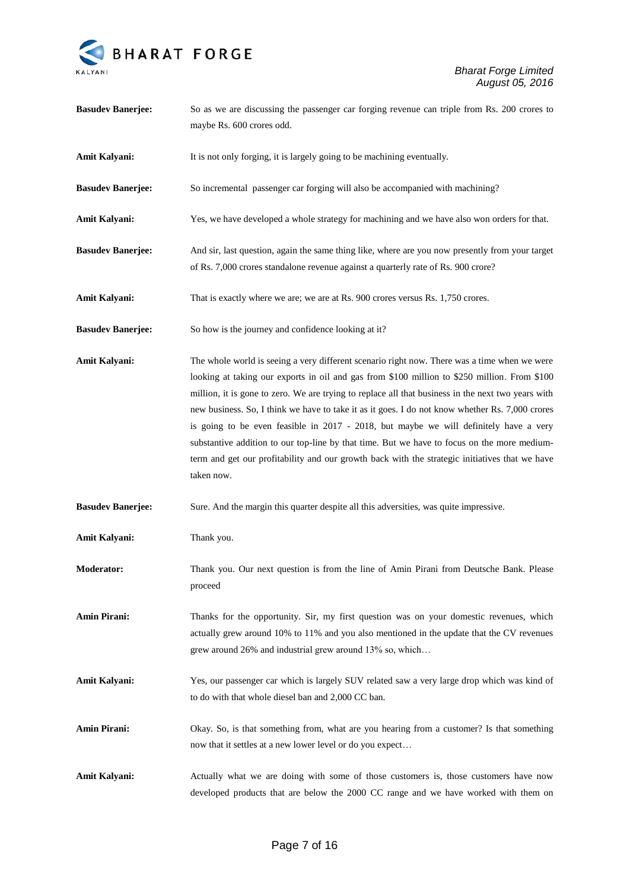

| <b>Basudev Banerjee:</b> | So as we are discussing the passenger car forging revenue can triple from Rs. 200 crores to<br>maybe Rs. 600 crores odd.                                                                                                                                                                                                                                                                                                                                                                                                                                                                                                                                                                                      |
|--------------------------|---------------------------------------------------------------------------------------------------------------------------------------------------------------------------------------------------------------------------------------------------------------------------------------------------------------------------------------------------------------------------------------------------------------------------------------------------------------------------------------------------------------------------------------------------------------------------------------------------------------------------------------------------------------------------------------------------------------|
| Amit Kalyani:            | It is not only forging, it is largely going to be machining eventually.                                                                                                                                                                                                                                                                                                                                                                                                                                                                                                                                                                                                                                       |
| <b>Basudev Banerjee:</b> | So incremental passenger car forging will also be accompanied with machining?                                                                                                                                                                                                                                                                                                                                                                                                                                                                                                                                                                                                                                 |
| Amit Kalyani:            | Yes, we have developed a whole strategy for machining and we have also won orders for that.                                                                                                                                                                                                                                                                                                                                                                                                                                                                                                                                                                                                                   |
| <b>Basudev Banerjee:</b> | And sir, last question, again the same thing like, where are you now presently from your target<br>of Rs. 7,000 crores standalone revenue against a quarterly rate of Rs. 900 crore?                                                                                                                                                                                                                                                                                                                                                                                                                                                                                                                          |
| Amit Kalyani:            | That is exactly where we are; we are at Rs. 900 crores versus Rs. 1,750 crores.                                                                                                                                                                                                                                                                                                                                                                                                                                                                                                                                                                                                                               |
| <b>Basudev Banerjee:</b> | So how is the journey and confidence looking at it?                                                                                                                                                                                                                                                                                                                                                                                                                                                                                                                                                                                                                                                           |
| Amit Kalyani:            | The whole world is seeing a very different scenario right now. There was a time when we were<br>looking at taking our exports in oil and gas from \$100 million to \$250 million. From \$100<br>million, it is gone to zero. We are trying to replace all that business in the next two years with<br>new business. So, I think we have to take it as it goes. I do not know whether Rs. 7,000 crores<br>is going to be even feasible in 2017 - 2018, but maybe we will definitely have a very<br>substantive addition to our top-line by that time. But we have to focus on the more medium-<br>term and get our profitability and our growth back with the strategic initiatives that we have<br>taken now. |
| <b>Basudev Banerjee:</b> | Sure. And the margin this quarter despite all this adversities, was quite impressive.                                                                                                                                                                                                                                                                                                                                                                                                                                                                                                                                                                                                                         |
| Amit Kalyani:            | Thank you.                                                                                                                                                                                                                                                                                                                                                                                                                                                                                                                                                                                                                                                                                                    |
| <b>Moderator:</b>        | Thank you. Our next question is from the line of Amin Pirani from Deutsche Bank. Please<br>proceed                                                                                                                                                                                                                                                                                                                                                                                                                                                                                                                                                                                                            |
| <b>Amin Pirani:</b>      | Thanks for the opportunity. Sir, my first question was on your domestic revenues, which<br>actually grew around 10% to 11% and you also mentioned in the update that the CV revenues<br>grew around 26% and industrial grew around 13% so, which                                                                                                                                                                                                                                                                                                                                                                                                                                                              |
| Amit Kalyani:            | Yes, our passenger car which is largely SUV related saw a very large drop which was kind of<br>to do with that whole diesel ban and 2,000 CC ban.                                                                                                                                                                                                                                                                                                                                                                                                                                                                                                                                                             |
| <b>Amin Pirani:</b>      | Okay. So, is that something from, what are you hearing from a customer? Is that something<br>now that it settles at a new lower level or do you expect                                                                                                                                                                                                                                                                                                                                                                                                                                                                                                                                                        |
| Amit Kalyani:            | Actually what we are doing with some of those customers is, those customers have now<br>developed products that are below the 2000 CC range and we have worked with them on                                                                                                                                                                                                                                                                                                                                                                                                                                                                                                                                   |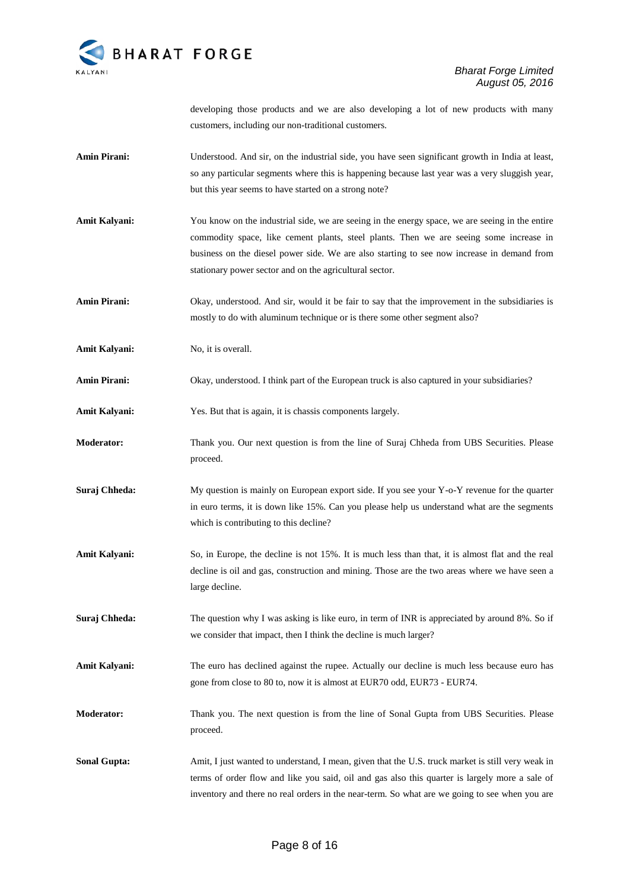

developing those products and we are also developing a lot of new products with many customers, including our non-traditional customers.

- **Amin Pirani:** Understood. And sir, on the industrial side, you have seen significant growth in India at least, so any particular segments where this is happening because last year was a very sluggish year, but this year seems to have started on a strong note?
- Amit Kalyani: You know on the industrial side, we are seeing in the energy space, we are seeing in the entire commodity space, like cement plants, steel plants. Then we are seeing some increase in business on the diesel power side. We are also starting to see now increase in demand from stationary power sector and on the agricultural sector.
- **Amin Pirani:** Okay, understood. And sir, would it be fair to say that the improvement in the subsidiaries is mostly to do with aluminum technique or is there some other segment also?

**Amit Kalyani:** No, it is overall.

Amin Pirani: Okay, understood. I think part of the European truck is also captured in your subsidiaries?

**Amit Kalyani:** Yes. But that is again, it is chassis components largely.

- **Moderator:** Thank you. Our next question is from the line of Suraj Chheda from UBS Securities. Please proceed.
- **Suraj Chheda:** My question is mainly on European export side. If you see your Y-o-Y revenue for the quarter in euro terms, it is down like 15%. Can you please help us understand what are the segments which is contributing to this decline?
- **Amit Kalyani:** So, in Europe, the decline is not 15%. It is much less than that, it is almost flat and the real decline is oil and gas, construction and mining. Those are the two areas where we have seen a large decline.
- **Suraj Chheda:** The question why I was asking is like euro, in term of INR is appreciated by around 8%. So if we consider that impact, then I think the decline is much larger?
- **Amit Kalyani:** The euro has declined against the rupee. Actually our decline is much less because euro has gone from close to 80 to, now it is almost at EUR70 odd, EUR73 - EUR74.
- **Moderator:** Thank you. The next question is from the line of Sonal Gupta from UBS Securities. Please proceed.
- **Sonal Gupta:** Amit, I just wanted to understand, I mean, given that the U.S. truck market is still very weak in terms of order flow and like you said, oil and gas also this quarter is largely more a sale of inventory and there no real orders in the near-term. So what are we going to see when you are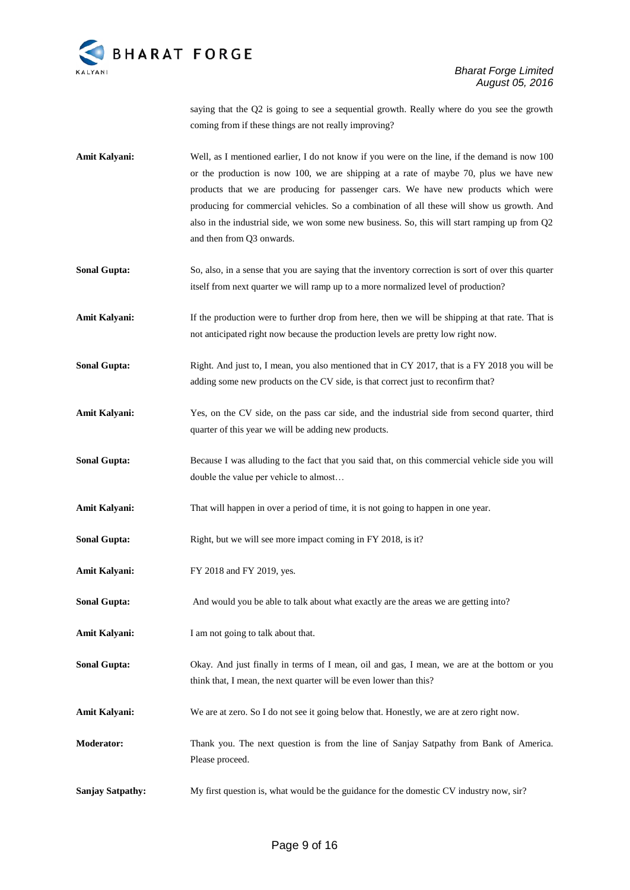

saying that the Q2 is going to see a sequential growth. Really where do you see the growth coming from if these things are not really improving?

- **Amit Kalyani:** Well, as I mentioned earlier, I do not know if you were on the line, if the demand is now 100 or the production is now 100, we are shipping at a rate of maybe 70, plus we have new products that we are producing for passenger cars. We have new products which were producing for commercial vehicles. So a combination of all these will show us growth. And also in the industrial side, we won some new business. So, this will start ramping up from Q2 and then from Q3 onwards.
- **Sonal Gupta:** So, also, in a sense that you are saying that the inventory correction is sort of over this quarter itself from next quarter we will ramp up to a more normalized level of production?
- **Amit Kalyani:** If the production were to further drop from here, then we will be shipping at that rate. That is not anticipated right now because the production levels are pretty low right now.
- **Sonal Gupta:** Right. And just to, I mean, you also mentioned that in CY 2017, that is a FY 2018 you will be adding some new products on the CV side, is that correct just to reconfirm that?
- Amit Kalyani: Yes, on the CV side, on the pass car side, and the industrial side from second quarter, third quarter of this year we will be adding new products.
- **Sonal Gupta:** Because I was alluding to the fact that you said that, on this commercial vehicle side you will double the value per vehicle to almost…
- **Amit Kalyani:** That will happen in over a period of time, it is not going to happen in one year.
- **Sonal Gupta:** Right, but we will see more impact coming in FY 2018, is it?
- **Amit Kalyani:** FY 2018 and FY 2019, yes.
- **Sonal Gupta:** And would you be able to talk about what exactly are the areas we are getting into?
- Amit Kalyani: I am not going to talk about that.
- **Sonal Gupta:** Okay. And just finally in terms of I mean, oil and gas, I mean, we are at the bottom or you think that, I mean, the next quarter will be even lower than this?
- Amit Kalyani: We are at zero. So I do not see it going below that. Honestly, we are at zero right now.
- **Moderator:** Thank you. The next question is from the line of Sanjay Satpathy from Bank of America. Please proceed.
- **Sanjay Satpathy:** My first question is, what would be the guidance for the domestic CV industry now, sir?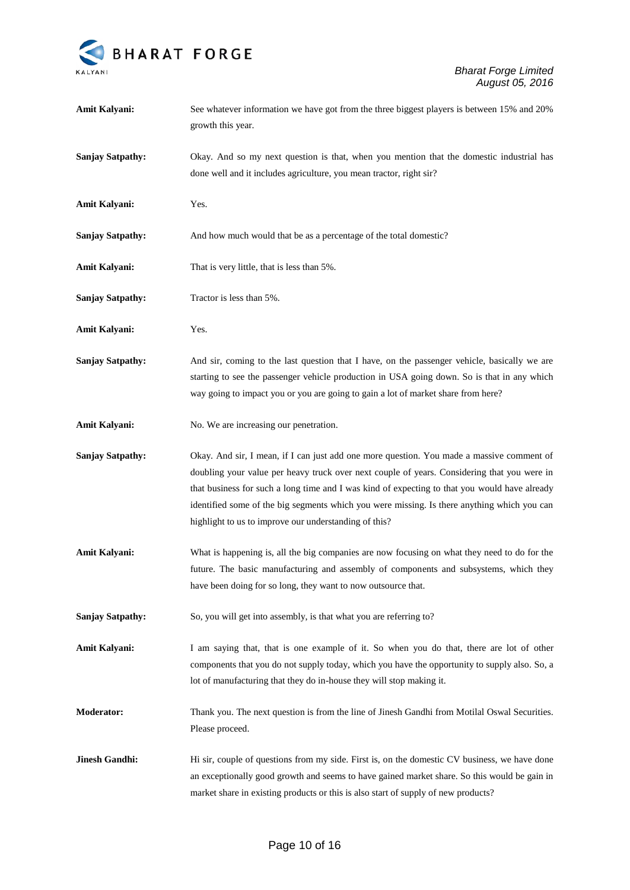

| Amit Kalyani:           | See whatever information we have got from the three biggest players is between 15% and 20%<br>growth this year.                                      |
|-------------------------|------------------------------------------------------------------------------------------------------------------------------------------------------|
| <b>Sanjay Satpathy:</b> | Okay. And so my next question is that, when you mention that the domestic industrial has                                                             |
|                         | done well and it includes agriculture, you mean tractor, right sir?                                                                                  |
| Amit Kalyani:           | Yes.                                                                                                                                                 |
| <b>Sanjay Satpathy:</b> | And how much would that be as a percentage of the total domestic?                                                                                    |
| Amit Kalyani:           | That is very little, that is less than 5%.                                                                                                           |
| <b>Sanjay Satpathy:</b> | Tractor is less than 5%.                                                                                                                             |
| Amit Kalyani:           | Yes.                                                                                                                                                 |
| <b>Sanjay Satpathy:</b> | And sir, coming to the last question that I have, on the passenger vehicle, basically we are                                                         |
|                         | starting to see the passenger vehicle production in USA going down. So is that in any which                                                          |
|                         | way going to impact you or you are going to gain a lot of market share from here?                                                                    |
| Amit Kalyani:           | No. We are increasing our penetration.                                                                                                               |
| <b>Sanjay Satpathy:</b> | Okay. And sir, I mean, if I can just add one more question. You made a massive comment of                                                            |
|                         | doubling your value per heavy truck over next couple of years. Considering that you were in                                                          |
|                         | that business for such a long time and I was kind of expecting to that you would have already                                                        |
|                         | identified some of the big segments which you were missing. Is there anything which you can<br>highlight to us to improve our understanding of this? |
|                         |                                                                                                                                                      |
| Amit Kalyani:           | What is happening is, all the big companies are now focusing on what they need to do for the                                                         |
|                         | future. The basic manufacturing and assembly of components and subsystems, which they                                                                |
|                         | have been doing for so long, they want to now outsource that.                                                                                        |
| <b>Sanjay Satpathy:</b> | So, you will get into assembly, is that what you are referring to?                                                                                   |
| <b>Amit Kalyani:</b>    | I am saying that, that is one example of it. So when you do that, there are lot of other                                                             |
|                         | components that you do not supply today, which you have the opportunity to supply also. So, a                                                        |
|                         | lot of manufacturing that they do in-house they will stop making it.                                                                                 |
| <b>Moderator:</b>       | Thank you. The next question is from the line of Jinesh Gandhi from Motilal Oswal Securities.                                                        |
|                         | Please proceed.                                                                                                                                      |
| <b>Jinesh Gandhi:</b>   | Hi sir, couple of questions from my side. First is, on the domestic CV business, we have done                                                        |
|                         | an exceptionally good growth and seems to have gained market share. So this would be gain in                                                         |
|                         | market share in existing products or this is also start of supply of new products?                                                                   |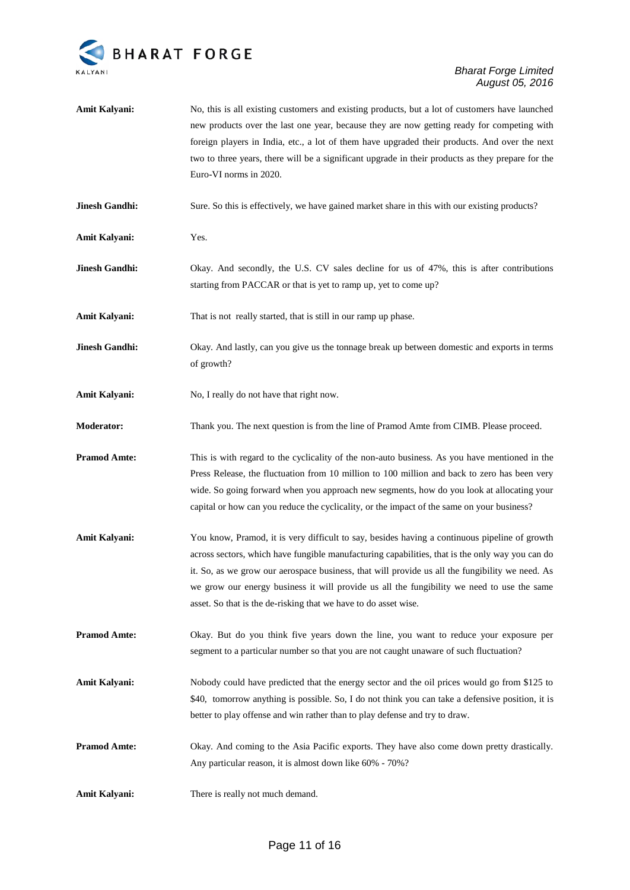

| Amit Kalyani:         | No, this is all existing customers and existing products, but a lot of customers have launched<br>new products over the last one year, because they are now getting ready for competing with<br>foreign players in India, etc., a lot of them have upgraded their products. And over the next<br>two to three years, there will be a significant upgrade in their products as they prepare for the<br>Euro-VI norms in 2020.                                         |
|-----------------------|----------------------------------------------------------------------------------------------------------------------------------------------------------------------------------------------------------------------------------------------------------------------------------------------------------------------------------------------------------------------------------------------------------------------------------------------------------------------|
| <b>Jinesh Gandhi:</b> | Sure. So this is effectively, we have gained market share in this with our existing products?                                                                                                                                                                                                                                                                                                                                                                        |
| Amit Kalyani:         | Yes.                                                                                                                                                                                                                                                                                                                                                                                                                                                                 |
| <b>Jinesh Gandhi:</b> | Okay. And secondly, the U.S. CV sales decline for us of 47%, this is after contributions<br>starting from PACCAR or that is yet to ramp up, yet to come up?                                                                                                                                                                                                                                                                                                          |
| Amit Kalyani:         | That is not really started, that is still in our ramp up phase.                                                                                                                                                                                                                                                                                                                                                                                                      |
| <b>Jinesh Gandhi:</b> | Okay. And lastly, can you give us the tonnage break up between domestic and exports in terms<br>of growth?                                                                                                                                                                                                                                                                                                                                                           |
| Amit Kalyani:         | No, I really do not have that right now.                                                                                                                                                                                                                                                                                                                                                                                                                             |
| <b>Moderator:</b>     | Thank you. The next question is from the line of Pramod Amte from CIMB. Please proceed.                                                                                                                                                                                                                                                                                                                                                                              |
| <b>Pramod Amte:</b>   | This is with regard to the cyclicality of the non-auto business. As you have mentioned in the<br>Press Release, the fluctuation from 10 million to 100 million and back to zero has been very<br>wide. So going forward when you approach new segments, how do you look at allocating your<br>capital or how can you reduce the cyclicality, or the impact of the same on your business?                                                                             |
| Amit Kalyani:         | You know, Pramod, it is very difficult to say, besides having a continuous pipeline of growth<br>across sectors, which have fungible manufacturing capabilities, that is the only way you can do<br>it. So, as we grow our aerospace business, that will provide us all the fungibility we need. As<br>we grow our energy business it will provide us all the fungibility we need to use the same<br>asset. So that is the de-risking that we have to do asset wise. |
| <b>Pramod Amte:</b>   | Okay. But do you think five years down the line, you want to reduce your exposure per<br>segment to a particular number so that you are not caught unaware of such fluctuation?                                                                                                                                                                                                                                                                                      |
| Amit Kalyani:         | Nobody could have predicted that the energy sector and the oil prices would go from \$125 to<br>\$40, tomorrow anything is possible. So, I do not think you can take a defensive position, it is<br>better to play offense and win rather than to play defense and try to draw.                                                                                                                                                                                      |
| <b>Pramod Amte:</b>   | Okay. And coming to the Asia Pacific exports. They have also come down pretty drastically.<br>Any particular reason, it is almost down like 60% - 70%?                                                                                                                                                                                                                                                                                                               |
| <b>Amit Kalyani:</b>  | There is really not much demand.                                                                                                                                                                                                                                                                                                                                                                                                                                     |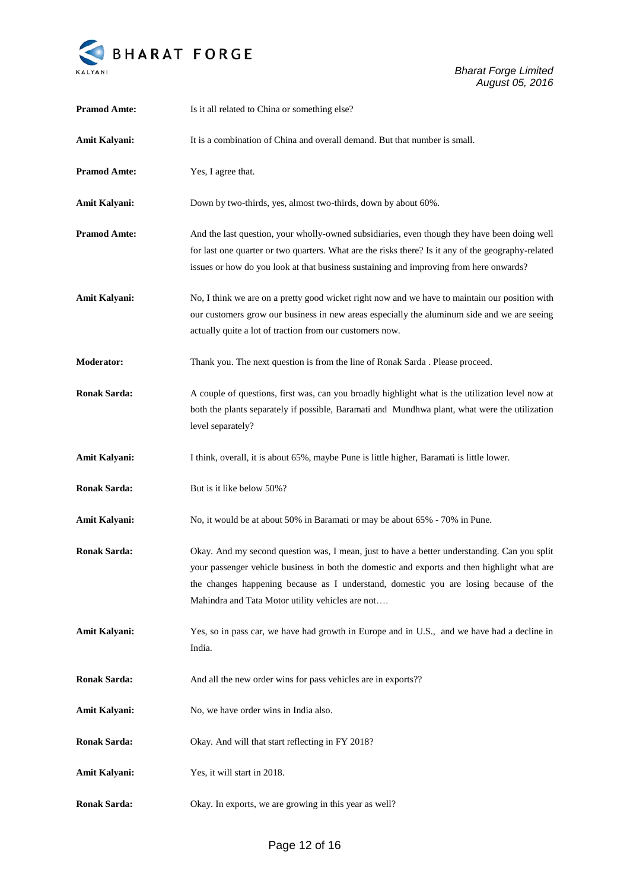

| <b>Pramod Amte:</b>  | Is it all related to China or something else?                                                                                                                                                                                                                                                                                             |
|----------------------|-------------------------------------------------------------------------------------------------------------------------------------------------------------------------------------------------------------------------------------------------------------------------------------------------------------------------------------------|
| Amit Kalyani:        | It is a combination of China and overall demand. But that number is small.                                                                                                                                                                                                                                                                |
| <b>Pramod Amte:</b>  | Yes, I agree that.                                                                                                                                                                                                                                                                                                                        |
| <b>Amit Kalyani:</b> | Down by two-thirds, yes, almost two-thirds, down by about 60%.                                                                                                                                                                                                                                                                            |
| <b>Pramod Amte:</b>  | And the last question, your wholly-owned subsidiaries, even though they have been doing well<br>for last one quarter or two quarters. What are the risks there? Is it any of the geography-related<br>issues or how do you look at that business sustaining and improving from here onwards?                                              |
| Amit Kalyani:        | No, I think we are on a pretty good wicket right now and we have to maintain our position with<br>our customers grow our business in new areas especially the aluminum side and we are seeing<br>actually quite a lot of traction from our customers now.                                                                                 |
| <b>Moderator:</b>    | Thank you. The next question is from the line of Ronak Sarda . Please proceed.                                                                                                                                                                                                                                                            |
| <b>Ronak Sarda:</b>  | A couple of questions, first was, can you broadly highlight what is the utilization level now at<br>both the plants separately if possible, Baramati and Mundhwa plant, what were the utilization<br>level separately?                                                                                                                    |
| Amit Kalyani:        | I think, overall, it is about 65%, maybe Pune is little higher, Baramati is little lower.                                                                                                                                                                                                                                                 |
| <b>Ronak Sarda:</b>  | But is it like below 50%?                                                                                                                                                                                                                                                                                                                 |
| <b>Amit Kalyani:</b> | No, it would be at about 50% in Baramati or may be about 65% - 70% in Pune.                                                                                                                                                                                                                                                               |
| <b>Ronak Sarda:</b>  | Okay. And my second question was, I mean, just to have a better understanding. Can you split<br>your passenger vehicle business in both the domestic and exports and then highlight what are<br>the changes happening because as I understand, domestic you are losing because of the<br>Mahindra and Tata Motor utility vehicles are not |
| Amit Kalyani:        | Yes, so in pass car, we have had growth in Europe and in U.S., and we have had a decline in<br>India.                                                                                                                                                                                                                                     |
| <b>Ronak Sarda:</b>  | And all the new order wins for pass vehicles are in exports??                                                                                                                                                                                                                                                                             |
| <b>Amit Kalyani:</b> | No, we have order wins in India also.                                                                                                                                                                                                                                                                                                     |
| <b>Ronak Sarda:</b>  | Okay. And will that start reflecting in FY 2018?                                                                                                                                                                                                                                                                                          |
| <b>Amit Kalyani:</b> | Yes, it will start in 2018.                                                                                                                                                                                                                                                                                                               |
| <b>Ronak Sarda:</b>  | Okay. In exports, we are growing in this year as well?                                                                                                                                                                                                                                                                                    |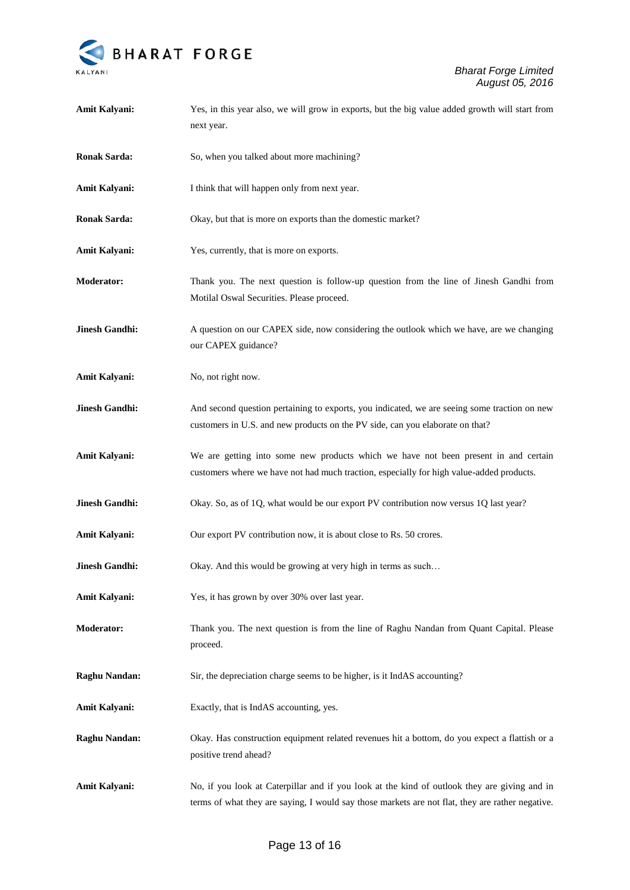

| Amit Kalyani:         | Yes, in this year also, we will grow in exports, but the big value added growth will start from<br>next year.                                                                                    |
|-----------------------|--------------------------------------------------------------------------------------------------------------------------------------------------------------------------------------------------|
| <b>Ronak Sarda:</b>   | So, when you talked about more machining?                                                                                                                                                        |
| Amit Kalyani:         | I think that will happen only from next year.                                                                                                                                                    |
| <b>Ronak Sarda:</b>   | Okay, but that is more on exports than the domestic market?                                                                                                                                      |
| Amit Kalyani:         | Yes, currently, that is more on exports.                                                                                                                                                         |
| <b>Moderator:</b>     | Thank you. The next question is follow-up question from the line of Jinesh Gandhi from<br>Motilal Oswal Securities. Please proceed.                                                              |
| <b>Jinesh Gandhi:</b> | A question on our CAPEX side, now considering the outlook which we have, are we changing<br>our CAPEX guidance?                                                                                  |
| Amit Kalyani:         | No, not right now.                                                                                                                                                                               |
| <b>Jinesh Gandhi:</b> | And second question pertaining to exports, you indicated, we are seeing some traction on new<br>customers in U.S. and new products on the PV side, can you elaborate on that?                    |
| Amit Kalyani:         | We are getting into some new products which we have not been present in and certain<br>customers where we have not had much traction, especially for high value-added products.                  |
| <b>Jinesh Gandhi:</b> | Okay. So, as of 1Q, what would be our export PV contribution now versus 1Q last year?                                                                                                            |
| Amit Kalyani:         | Our export PV contribution now, it is about close to Rs. 50 crores.                                                                                                                              |
| <b>Jinesh Gandhi:</b> | Okay. And this would be growing at very high in terms as such                                                                                                                                    |
| Amit Kalyani:         | Yes, it has grown by over 30% over last year.                                                                                                                                                    |
| <b>Moderator:</b>     | Thank you. The next question is from the line of Raghu Nandan from Quant Capital. Please<br>proceed.                                                                                             |
| <b>Raghu Nandan:</b>  | Sir, the depreciation charge seems to be higher, is it IndAS accounting?                                                                                                                         |
| Amit Kalyani:         | Exactly, that is IndAS accounting, yes.                                                                                                                                                          |
| <b>Raghu Nandan:</b>  | Okay. Has construction equipment related revenues hit a bottom, do you expect a flattish or a<br>positive trend ahead?                                                                           |
| <b>Amit Kalyani:</b>  | No, if you look at Caterpillar and if you look at the kind of outlook they are giving and in<br>terms of what they are saying, I would say those markets are not flat, they are rather negative. |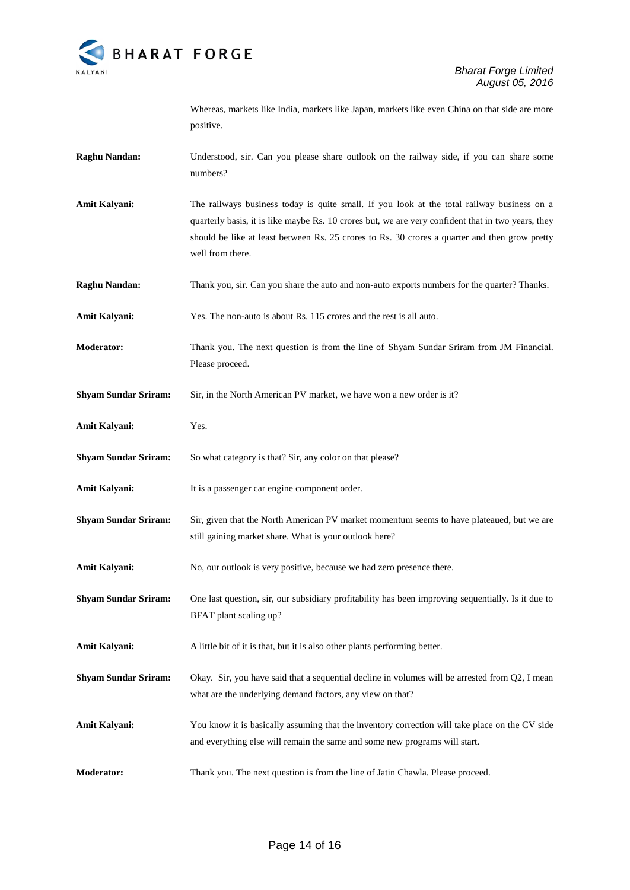

Whereas, markets like India, markets like Japan, markets like even China on that side are more positive.

- **Raghu Nandan:** Understood, sir. Can you please share outlook on the railway side, if you can share some numbers?
- **Amit Kalyani:** The railways business today is quite small. If you look at the total railway business on a quarterly basis, it is like maybe Rs. 10 crores but, we are very confident that in two years, they should be like at least between Rs. 25 crores to Rs. 30 crores a quarter and then grow pretty well from there.
- **Raghu Nandan:** Thank you, sir. Can you share the auto and non-auto exports numbers for the quarter? Thanks.
- **Amit Kalyani:** Yes. The non-auto is about Rs. 115 crores and the rest is all auto.
- **Moderator:** Thank you. The next question is from the line of Shyam Sundar Sriram from JM Financial. Please proceed.
- **Shyam Sundar Sriram:** Sir, in the North American PV market, we have won a new order is it?
- **Amit Kalyani:** Yes.
- **Shyam Sundar Sriram:** So what category is that? Sir, any color on that please?
- Amit Kalyani: It is a passenger car engine component order.
- **Shyam Sundar Sriram:** Sir, given that the North American PV market momentum seems to have plateaued, but we are still gaining market share. What is your outlook here?
- Amit Kalyani: No, our outlook is very positive, because we had zero presence there.
- **Shyam Sundar Sriram:** One last question, sir, our subsidiary profitability has been improving sequentially. Is it due to BFAT plant scaling up?
- Amit Kalyani: A little bit of it is that, but it is also other plants performing better.
- **Shyam Sundar Sriram:** Okay. Sir, you have said that a sequential decline in volumes will be arrested from Q2, I mean what are the underlying demand factors, any view on that?
- **Amit Kalyani:** You know it is basically assuming that the inventory correction will take place on the CV side and everything else will remain the same and some new programs will start.
- **Moderator:** Thank you. The next question is from the line of Jatin Chawla. Please proceed.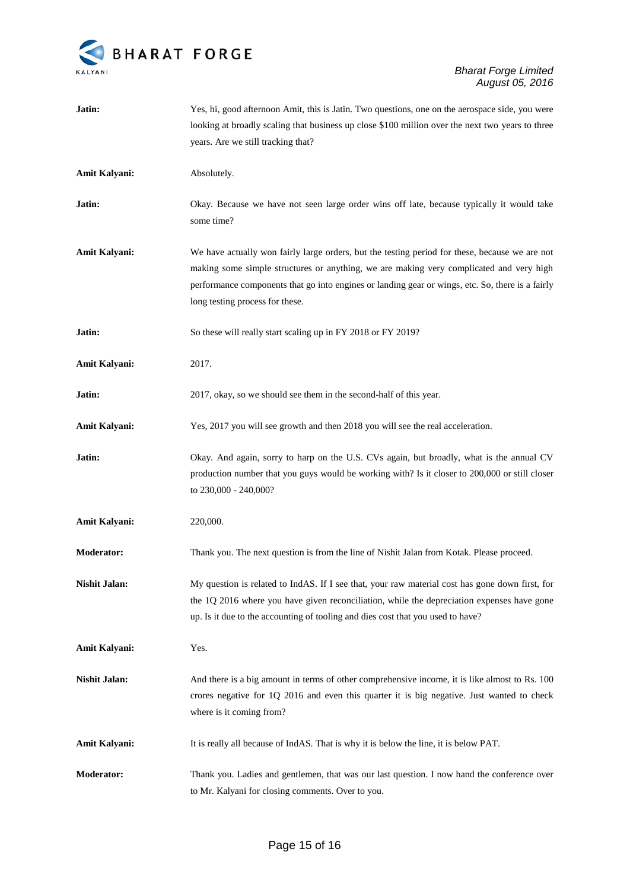

| Jatin:               | Yes, hi, good afternoon Amit, this is Jatin. Two questions, one on the aerospace side, you were<br>looking at broadly scaling that business up close \$100 million over the next two years to three                                                                                                                              |
|----------------------|----------------------------------------------------------------------------------------------------------------------------------------------------------------------------------------------------------------------------------------------------------------------------------------------------------------------------------|
|                      | years. Are we still tracking that?                                                                                                                                                                                                                                                                                               |
| <b>Amit Kalyani:</b> | Absolutely.                                                                                                                                                                                                                                                                                                                      |
| Jatin:               | Okay. Because we have not seen large order wins off late, because typically it would take<br>some time?                                                                                                                                                                                                                          |
| <b>Amit Kalyani:</b> | We have actually won fairly large orders, but the testing period for these, because we are not<br>making some simple structures or anything, we are making very complicated and very high<br>performance components that go into engines or landing gear or wings, etc. So, there is a fairly<br>long testing process for these. |
| Jatin:               | So these will really start scaling up in FY 2018 or FY 2019?                                                                                                                                                                                                                                                                     |
| Amit Kalyani:        | 2017.                                                                                                                                                                                                                                                                                                                            |
| Jatin:               | 2017, okay, so we should see them in the second-half of this year.                                                                                                                                                                                                                                                               |
| <b>Amit Kalyani:</b> | Yes, 2017 you will see growth and then 2018 you will see the real acceleration.                                                                                                                                                                                                                                                  |
| Jatin:               | Okay. And again, sorry to harp on the U.S. CVs again, but broadly, what is the annual CV<br>production number that you guys would be working with? Is it closer to 200,000 or still closer<br>to 230,000 - 240,000?                                                                                                              |
| Amit Kalyani:        | 220,000.                                                                                                                                                                                                                                                                                                                         |
| <b>Moderator:</b>    | Thank you. The next question is from the line of Nishit Jalan from Kotak. Please proceed.                                                                                                                                                                                                                                        |
| <b>Nishit Jalan:</b> | My question is related to IndAS. If I see that, your raw material cost has gone down first, for<br>the 1Q 2016 where you have given reconciliation, while the depreciation expenses have gone<br>up. Is it due to the accounting of tooling and dies cost that you used to have?                                                 |
| Amit Kalyani:        | Yes.                                                                                                                                                                                                                                                                                                                             |
| <b>Nishit Jalan:</b> | And there is a big amount in terms of other comprehensive income, it is like almost to Rs. 100<br>crores negative for 1Q 2016 and even this quarter it is big negative. Just wanted to check<br>where is it coming from?                                                                                                         |
| Amit Kalyani:        | It is really all because of IndAS. That is why it is below the line, it is below PAT.                                                                                                                                                                                                                                            |
| Moderator:           | Thank you. Ladies and gentlemen, that was our last question. I now hand the conference over<br>to Mr. Kalyani for closing comments. Over to you.                                                                                                                                                                                 |